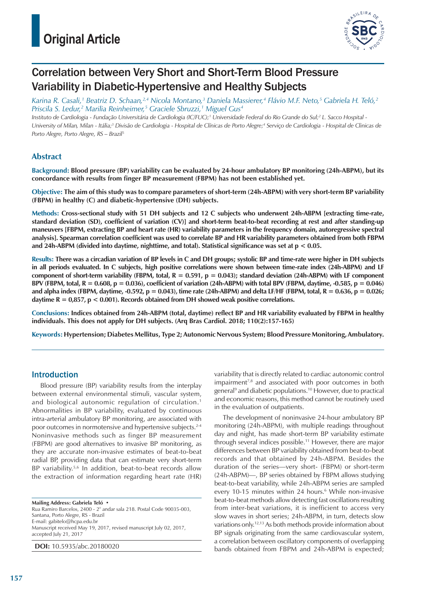

# Correlation between Very Short and Short-Term Blood Pressure Variability in Diabetic-Hypertensive and Healthy Subjects

Karina R. Casali,<sup>1</sup> Beatriz D. Schaan,<sup>2,4</sup> Nicola Montano,<sup>3</sup> Daniela Massierer,<sup>4</sup> Flávio M.F. Neto,<sup>5</sup> Gabriela H. Teló,<sup>2</sup> *Priscila S. Ledur,2 Marilia Reinheimer,5 Graciele Sbruzzi,1 Miguel Gus4*

*Instituto de Cardiologia - Fundação Universitária de Cardiologia (IC/FUC);1 Universidade Federal do Rio Grande do Sul;2 L. Sacco Hospital -*  University of Milan, Milan - Itália;<sup>3</sup> Divisão de Cardiologia - Hospital de Clínicas de Porto Alegre;<sup>4</sup> Serviço de Cardiologia - Hospital de Clinicas de *Porto Alegre, Porto Alegre, RS – Brazil5*

### **Abstract**

**Background: Blood pressure (BP) variability can be evaluated by 24-hour ambulatory BP monitoring (24h-ABPM), but its concordance with results from finger BP measurement (FBPM) has not been established yet.**

**Objective: The aim of this study was to compare parameters of short-term (24h-ABPM) with very short-term BP variability (FBPM) in healthy (C) and diabetic-hypertensive (DH) subjects.**

**Methods: Cross-sectional study with 51 DH subjects and 12 C subjects who underwent 24h-ABPM [extracting time-rate, standard deviation (SD), coefficient of variation (CV)] and short-term beat-to-beat recording at rest and after standing-up maneuvers [FBPM, extracting BP and heart rate (HR) variability parameters in the frequency domain, autoregressive spectral analysis]. Spearman correlation coefficient was used to correlate BP and HR variability parameters obtained from both FBPM and 24h-ABPM (divided into daytime, nighttime, and total). Statistical significance was set at p < 0.05.**

**Results: There was a circadian variation of BP levels in C and DH groups; systolic BP and time-rate were higher in DH subjects in all periods evaluated. In C subjects, high positive correlations were shown between time-rate index (24h-ABPM) and LF component of short-term variability (FBPM, total, R = 0.591, p = 0.043); standard deviation (24h-ABPM) with LF component**  BPV (FBPM, total,  $R = 0.608$ ,  $p = 0.036$ ), coefficient of variation (24h-ABPM) with total BPV (FBPM, daytime, -0.585,  $p = 0.046$ ) and alpha index (FBPM, daytime,  $-0.592$ ,  $p = 0.043$ ), time rate (24h-ABPM) and delta LF/HF (FBPM, total,  $R = 0.636$ ,  $p = 0.026$ ; **daytime R = 0,857, p < 0.001). Records obtained from DH showed weak positive correlations.**

**Conclusions: Indices obtained from 24h-ABPM (total, daytime) reflect BP and HR variability evaluated by FBPM in healthy individuals. This does not apply for DH subjects. (Arq Bras Cardiol. 2018; 110(2):157-165)**

**Keywords: Hypertension; Diabetes Mellitus, Type 2; Autonomic Nervous System; Blood Pressure Monitoring, Ambulatory.**

### Introduction

Blood pressure (BP) variability results from the interplay between external environmental stimuli, vascular system, and biological autonomic regulation of circulation.1 Abnormalities in BP variability, evaluated by continuous intra-arterial ambulatory BP monitoring, are associated with poor outcomes in normotensive and hypertensive subjects.2-4 Noninvasive methods such as finger BP measurement (FBPM) are good alternatives to invasive BP monitoring, as they are accurate non-invasive estimates of beat-to-beat radial BP, providing data that can estimate very short-term BP variability.<sup>5,6</sup> In addition, beat-to-beat records allow the extraction of information regarding heart rate (HR)

**Mailing Address: Gabriela Teló •** Rua Ramiro Barcelos, 2400 - 2° andar sala 218. Postal Code 90035-003, Santana, Porto Alegre, RS - Brazil E-mail: gabitelo@hcpa.edu.br Manuscript received May 19, 2017, revised manuscript July 02, 2017, accepted July 21, 2017

**DOI:** 10.5935/abc.20180020

variability that is directly related to cardiac autonomic control impairment<sup>7,8</sup> and associated with poor outcomes in both general<sup>9</sup> and diabetic populations.<sup>10</sup> However, due to practical and economic reasons, this method cannot be routinely used in the evaluation of outpatients.

The development of noninvasive 24-hour ambulatory BP monitoring (24h-ABPM), with multiple readings throughout day and night, has made short-term BP variability estimate through several indices possible.11 However, there are major differences between BP variability obtained from beat-to-beat records and that obtained by 24h-ABPM. Besides the duration of the series—very short- (FBPM) or short-term (24h-ABPM)—, BP series obtained by FBPM allows studying beat-to-beat variability, while 24h-ABPM series are sampled every 10-15 minutes within 24 hours.<sup>6</sup> While non-invasive beat-to-beat methods allow detecting fast oscillations resulting from inter-beat variations, it is inefficient to access very slow waves in short series; 24h-ABPM, in turn, detects slow variations only.12,13 As both methods provide information about BP signals originating from the same cardiovascular system, a correlation between oscillatory components of overlapping bands obtained from FBPM and 24h-ABPM is expected;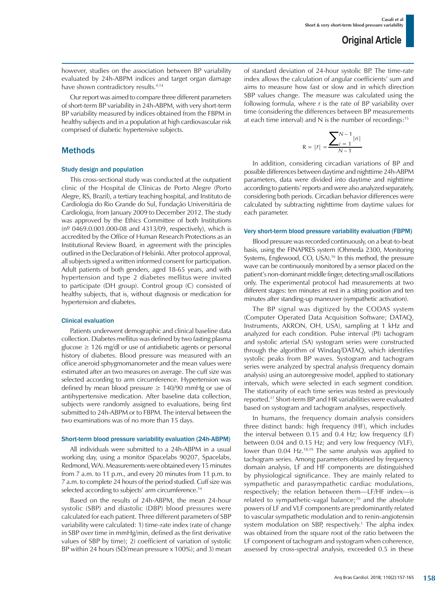however, studies on the association between BP variability evaluated by 24h-ABPM indices and target organ damage have shown contradictory results.<sup>4,14</sup>

Our report was aimed to compare three different parameters of short-term BP variability in 24h-ABPM, with very short-term BP variability measured by indices obtained from the FBPM in healthy subjects and in a population at high cardiovascular risk comprised of diabetic hypertensive subjects.

### **Methods**

#### Study design and population

This cross-sectional study was conducted at the outpatient clinic of the Hospital de Clínicas de Porto Alegre (Porto Alegre, RS, Brazil), a tertiary teaching hospital, and Instituto de Cardiologia do Rio Grande do Sul, Fundação Universitária de Cardiologia, from January 2009 to December 2012. The study was approved by the Ethics Committee of both Institutions (nº 0469.0.001.000-08 and 4313/09, respectively), which is accredited by the Office of Human Research Protections as an Institutional Review Board, in agreement with the principles outlined in the Declaration of Helsinki. After protocol approval, all subjects signed a written informed consent for participation. Adult patients of both genders, aged 18-65 years, and with hypertension and type 2 diabetes mellitus were invited to participate (DH group). Control group (C) consisted of healthy subjects, that is, without diagnosis or medication for hypertension and diabetes.

#### Clinical evaluation

Patients underwent demographic and clinical baseline data collection. Diabetes mellitus was defined by two fasting plasma glucose  $\geq$  126 mg/dl or use of antidiabetic agents or personal history of diabetes. Blood pressure was measured with an office aneroid sphygmomanometer and the mean values were estimated after an two measures on average. The cuff size was selected according to arm circumference. Hypertension was defined by mean blood pressure  $\geq 140/90$  mmHg or use of antihypertensive medication. After baseline data collection, subjects were randomly assigned to evaluations, being first submitted to 24h-ABPM or to FBPM. The interval between the two examinations was of no more than 15 days.

#### Short-term blood pressure variability evaluation (24h-ABPM)

All individuals were submitted to a 24h-ABPM in a usual working day, using a monitor (Spacelabs 90207, Spacelabs, Redmond, WA). Measurements were obtained every 15 minutes from 7 a.m. to 11 p.m., and every 20 minutes from 11 p.m. to 7 a.m. to complete 24 hours of the period studied. Cuff size was selected according to subjects' arm circumference.<sup>14</sup>

Based on the results of 24h-ABPM, the mean 24-hour systolic (SBP) and diastolic (DBP) blood pressures were calculated for each patient. Three different parameters of SBP variability were calculated: 1) time-rate index (rate of change in SBP over time in mmHg/min, defined as the first derivative values of SBP by time); 2) coefficient of variation of systolic BP within 24 hours (SD/mean pressure x 100%); and 3) mean of standard deviation of 24-hour systolic BP. The time-rate index allows the calculation of angular coefficients' sum and aims to measure how fast or slow and in which direction SBP values change. The measure was calculated using the following formula, where r is the rate of BP variability over time (considering the differences between BP measurements at each time interval) and N is the number of recordings:<sup>15</sup>

$$
R = |\bar{r}| = \frac{\sum_{i=1}^{N-1} |ri|}{N-1}
$$

In addition, considering circadian variations of BP and possible differences between daytime and nighttime 24h-ABPM parameters, data were divided into daytime and nighttime according to patients' reports and were also analyzed separately, considering both periods. Circadian behavior differences were calculated by subtracting nighttime from daytime values for each parameter.

#### Very short-term blood pressure variability evaluation (FBPM)

Blood pressure was recorded continuously, on a beat-to-beat basis, using the FINAPRES system (Ohmeda 2300, Monitoring Systems, Englewood, CO, USA).16 In this method, the pressure wave can be continuously monitored by a sensor placed on the patient's non-dominant middle finger, detecting small oscillations only. The experimental protocol had measurements at two different stages: ten minutes at rest in a sitting position and ten minutes after standing-up maneuver (sympathetic activation).

The BP signal was digitized by the CODAS system (Computer Operated Data Acquisition Software; DATAQ, Instruments, AKRON, OH, USA), sampling at 1 kHz and analyzed for each condition. Pulse interval (PI) tachogram and systolic arterial (SA) systogram series were constructed through the algorithm of Windaq/DATAQ, which identifies systolic peaks from BP waves. Systogram and tachogram series were analyzed by spectral analysis (frequency domain analysis) using an autoregressive model, applied to stationary intervals, which were selected in each segment condition. The stationarity of each time series was tested as previously reported.17 Short-term BP and HR variabilities were evaluated based on systogram and tachogram analyses, respectively.

In humans, the frequency domain analysis considers three distinct bands: high frequency (HF), which includes the interval between 0.15 and 0.4 Hz; low frequency (LF) between 0.04 and 0.15 Hz; and very low frequency (VLF), lower than 0.04 Hz.18,19 The same analysis was applied to tachogram series. Among parameters obtained by frequency domain analysis, LF and HF components are distinguished by physiological significance. They are mainly related to sympathetic and parasympathetic cardiac modulations, respectively; the relation between them—LF/HF index—is related to sympathetic-vagal balance;<sup>20</sup> and the absolute powers of LF and VLF components are predominantly related to vascular sympathetic modulation and to renin-angiotensin system modulation on SBP, respectively.<sup>1</sup> The alpha index was obtained from the square root of the ratio between the LF component of tachogram and systogram when coherence, assessed by cross-spectral analysis, exceeded 0.5 in these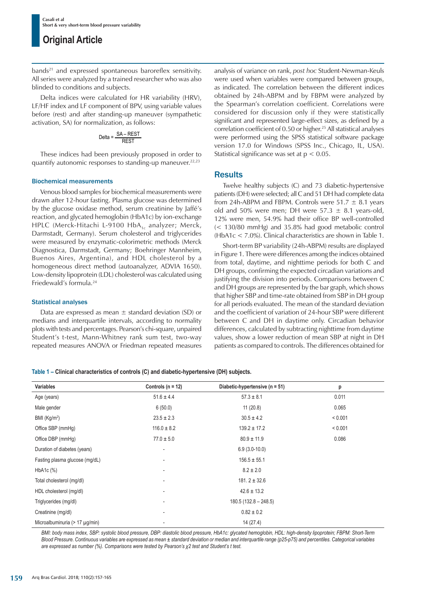bands<sup>21</sup> and expressed spontaneous baroreflex sensitivity. All series were analyzed by a trained researcher who was also blinded to conditions and subjects.

Delta indices were calculated for HR variability (HRV), LF/HF index and LF component of BPV, using variable values before (rest) and after standing-up maneuver (sympathetic activation, SA) for normalization, as follows:

$$
Delta = \frac{SA - REST}{REST}
$$

These indices had been previously proposed in order to quantify autonomic responses to standing-up maneuver.<sup>22,23</sup>

#### Biochemical measurements

Venous blood samples for biochemical measurements were drawn after 12-hour fasting. Plasma glucose was determined by the glucose oxidase method, serum creatinine by Jaffé's reaction, and glycated hemoglobin (HbA1c) by ion-exchange HPLC (Merck-Hitachi L-9100 HbA $_{1c}$  analyzer; Merck, Darmstadt, Germany). Serum cholesterol and triglycerides were measured by enzymatic-colorimetric methods (Merck Diagnostica, Darmstadt, Germany; Boehringer Mannheim, Buenos Aires, Argentina), and HDL cholesterol by a homogeneous direct method (autoanalyzer, ADVIA 1650). Low-density lipoprotein (LDL) cholesterol was calculated using Friedewald's formula.<sup>24</sup>

### Statistical analyses

Data are expressed as mean  $\pm$  standard deviation (SD) or medians and interquartile intervals, according to normality plots with tests and percentages. Pearson's chi-square, unpaired Student's t-test, Mann-Whitney rank sum test, two-way repeated measures ANOVA or Friedman repeated measures analysis of variance on rank, *post hoc* Student-Newman-Keuls were used when variables were compared between groups, as indicated. The correlation between the different indices obtained by 24h-ABPM and by FBPM were analyzed by the Spearman's correlation coefficient. Correlations were considered for discussion only if they were statistically significant and represented large-effect sizes, as defined by a correlation coefficient of 0.50 or higher.<sup>25</sup> All statistical analyses were performed using the SPSS statistical software package version 17.0 for Windows (SPSS Inc., Chicago, IL, USA). Statistical significance was set at  $p < 0.05$ .

### **Results**

Twelve healthy subjects (C) and 73 diabetic-hypertensive patients (DH) were selected; all C and 51 DH had complete data from 24h-ABPM and FBPM. Controls were 51.7  $\pm$  8.1 years old and 50% were men; DH were 57.3  $\pm$  8.1 years-old, 12% were men, 54.9% had their office BP well-controlled (< 130/80 mmHg) and 35.8% had good metabolic control (HbA1c < 7.0%). Clinical characteristics are shown in Table 1.

Short-term BP variability (24h-ABPM) results are displayed in Figure 1. There were differences among the indices obtained from total, daytime, and nighttime periods for both C and DH groups, confirming the expected circadian variations and justifying the division into periods. Comparisons between C and DH groups are represented by the bar graph, which shows that higher SBP and time-rate obtained from SBP in DH group for all periods evaluated. The mean of the standard deviation and the coefficient of variation of 24-hour SBP were different between C and DH in daytime only. Circadian behavior differences, calculated by subtracting nighttime from daytime values, show a lower reduction of mean SBP at night in DH patients as compared to controls. The differences obtained for

|  | Table 1 - Clinical characteristics of controls (C) and diabetic-hypertensive (DH) subjects. |  |  |  |  |  |
|--|---------------------------------------------------------------------------------------------|--|--|--|--|--|
|  |                                                                                             |  |  |  |  |  |

| Variables                      | Controls ( $n = 12$ )    | Diabetic-hypertensive ( $n = 51$ ) | p       |  |
|--------------------------------|--------------------------|------------------------------------|---------|--|
| Age (years)                    | $51.6 \pm 4.4$           | $57.3 \pm 8.1$                     | 0.011   |  |
| Male gender                    | 6(50.0)                  | 11(20.8)                           | 0.065   |  |
| BMI $(Kg/m2)$                  | $23.5 \pm 2.3$           | $30.5 \pm 4.2$                     | < 0.001 |  |
| Office SBP (mmHg)              | $116.0 \pm 8.2$          | $139.2 \pm 17.2$                   | < 0.001 |  |
| Office DBP (mmHg)              | $77.0 \pm 5.0$           | $80.9 \pm 11.9$                    | 0.086   |  |
| Duration of diabetes (years)   | ۰                        | $6.9(3.0-10.0)$                    |         |  |
| Fasting plasma glucose (mg/dL) |                          | $156.5 \pm 55.1$                   |         |  |
| $HbA1c$ $%$                    | ۰                        | $8.2 \pm 2.0$                      |         |  |
| Total cholesterol (mg/dl)      |                          | $181.2 \pm 32.6$                   |         |  |
| HDL cholesterol (mg/dl)        |                          | $42.6 \pm 13.2$                    |         |  |
| Triglycerides (mg/dl)          | $\overline{\phantom{a}}$ | $180.5(132.8 - 248.5)$             |         |  |
| Creatinine (mg/dl)             |                          | $0.82 \pm 0.2$                     |         |  |
| Microalbuminuria (> 17 µg/min) |                          | 14(27.4)                           |         |  |

*BMI: body mass index, SBP: systolic blood pressure, DBP: diastolic blood pressure, HbA1c: glycated hemoglobin, HDL: high-density lipoprotein; FBPM: Short-Term Blood Pressure. Continuous variables are expressed as mean ± standard deviation or median and interquartile range (p25-p75) and percentiles. Categorical variables are expressed as number (%). Comparisons were tested by Pearson's χ2 test and Student's t test.*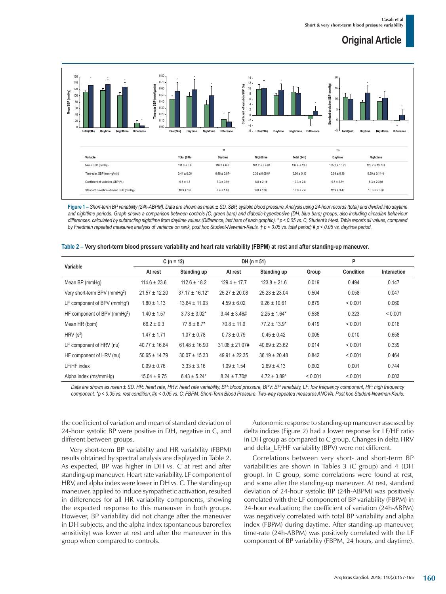

**Figure 1 –** *Short-term BP variability (24h-ABPM). Data are shown as mean ± SD. SBP, systolic blood pressure. Analysis using 24-hour records (total) and divided into daytime*  and nighttime periods. Graph shows a comparison between controls (C, green bars) and diabetic-hypertensive (DH, blue bars) groups, also including circadian behaviour *differences, calculated by subtracting nighttime from daytime values (Difference, last bars of each graphic). \* p < 0.05 vs. C, Student's t-test. Table reports all values, compared by Friedman repeated measures analysis of variance on rank, post hoc Student-Newman-Keuls. † p < 0.05 vs. total period; # p < 0.05 vs. daytime period.*

| Variable                                 | $C(n = 12)$       |                     | $DH (n = 51)$       |                   | P       |           |             |  |  |
|------------------------------------------|-------------------|---------------------|---------------------|-------------------|---------|-----------|-------------|--|--|
|                                          | At rest           | Standing up         | At rest             | Standing up       | Group   | Condition | Interaction |  |  |
| Mean BP (mmHg)                           | $114.6 \pm 23.6$  | $112.6 \pm 18.2$    | $129.4 \pm 17.7$    | $123.8 \pm 21.6$  | 0.019   | 0.494     | 0.147       |  |  |
| Very short-term BPV (mmHq <sup>2</sup> ) | $21.57 \pm 12.20$ | $37.17 \pm 16.12^*$ | $25.27 \pm 20.08$   | $25.23 \pm 23.04$ | 0.504   | 0.058     | 0.047       |  |  |
| LF component of BPV (mmHq <sup>2</sup> ) | $1.80 \pm 1.13$   | $13.84 \pm 11.93$   | $4.59 \pm 6.02$     | $9.26 \pm 10.61$  | 0.879   | < 0.001   | 0.060       |  |  |
| HF component of BPV (mmHq <sup>2</sup> ) | $1.40 \pm 1.57$   | $3.73 \pm 3.02^*$   | $3.44 \pm 3.46 \#$  | $2.25 \pm 1.64*$  | 0.538   | 0.323     | < 0.001     |  |  |
| Mean HR (bpm)                            | $66.2 \pm 9.3$    | $77.8 \pm 8.7^*$    | $70.8 \pm 11.9$     | $77.2 \pm 13.9^*$ | 0.419   | < 0.001   | 0.016       |  |  |
| HRV $(s^2)$                              | $1.47 \pm 1.71$   | $1.07 \pm 0.78$     | $0.73 \pm 0.79$     | $0.45 \pm 0.42$   | 0.005   | 0.010     | 0.658       |  |  |
| LF component of HRV (nu)                 | $40.77 \pm 16.84$ | $61.48 \pm 16.90$   | $31.08 \pm 21.07\#$ | $40.69 \pm 23.62$ | 0.014   | < 0.001   | 0.339       |  |  |
| HF component of HRV (nu)                 | $50.65 \pm 14.79$ | $30.07 \pm 15.33$   | $49.91 \pm 22.35$   | $36.19 \pm 20.48$ | 0.842   | < 0.001   | 0.464       |  |  |
| LF/HF index                              | $0.99 \pm 0.76$   | $3.33 \pm 3.16$     | $1.09 \pm 1.54$     | $2.69 \pm 4.13$   | 0.902   | 0.001     | 0.744       |  |  |
| Alpha index (ms/mmHq)                    | $15.04 \pm 9.75$  | $6.43 \pm 5.24*$    | $8.24 \pm 7.70#$    | $4.72 \pm 3.89^*$ | < 0.001 | < 0.001   | 0.003       |  |  |

|  |  |  |  |  | Table 2 - Very short-term blood pressure variability and heart rate variability (FBPM) at rest and after standing-up maneuver. |
|--|--|--|--|--|--------------------------------------------------------------------------------------------------------------------------------|
|--|--|--|--|--|--------------------------------------------------------------------------------------------------------------------------------|

*Data are shown as mean ± SD. HR: heart rate, HRV: heart rate variability, BP: blood pressure, BPV: BP variability, LF: low frequency component, HF: high frequency component. \*p < 0.05 vs. rest condition; #p < 0.05 vs. C; FBPM: Short-Term Blood Pressure. Two-way repeated measures ANOVA. Post hoc Student-Newman-Keuls.*

the coefficient of variation and mean of standard deviation of 24-hour systolic BP were positive in DH, negative in C, and different between groups.

Very short-term BP variability and HR variability (FBPM) results obtained by spectral analysis are displayed in Table 2. As expected, BP was higher in DH *vs.* C at rest and after standing-up maneuver. Heart rate variability, LF component of HRV, and alpha index were lower in DH *vs.* C. The standing-up maneuver, applied to induce sympathetic activation, resulted in differences for all HR variability components, showing the expected response to this maneuver in both groups. However, BP variability did not change after the maneuver in DH subjects, and the alpha index (spontaneous baroreflex sensitivity) was lower at rest and after the maneuver in this group when compared to controls.

Autonomic response to standing-up maneuver assessed by delta indices (Figure 2) had a lower response for LF/HF ratio in DH group as compared to C group. Changes in delta HRV and delta\_LF/HF variability (BPV) were not different.

Correlations between very short- and short-term BP variabilities are shown in Tables 3 (C group) and 4 (DH group). In C group, some correlations were found at rest, and some after the standing-up maneuver. At rest, standard deviation of 24-hour systolic BP (24h-ABPM) was positively correlated with the LF component of BP variability (FBPM) in 24-hour evaluation; the coefficient of variation (24h-ABPM) was negatively correlated with total BP variability and alpha index (FBPM) during daytime. After standing-up maneuver, time-rate (24h-ABPM) was positively correlated with the LF component of BP variability (FBPM, 24 hours, and daytime).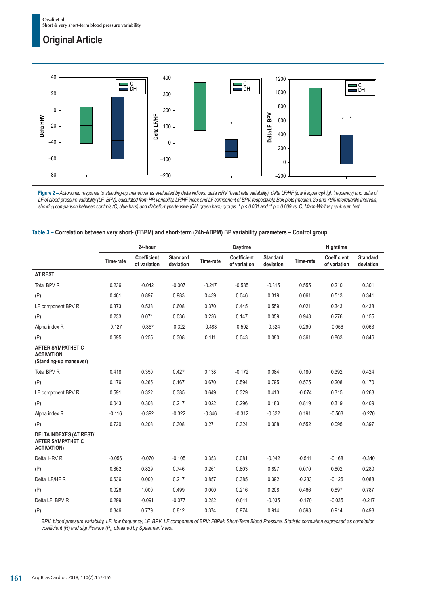

**Figure 2 –** *Autonomic response to standing-up maneuver as evaluated by delta indices: delta HRV (heart rate variability), delta LF/HF (low frequency/high frequency) and delta of LF of blood pressure variability (LF\_BPV), calculated from HR variability, LF/HF index and LF component of BPV, respectively. Box plots (median, 25 and 75% interquartile intervals) showing comparison between controls (C, blue bars) and diabetic-hypertensive (DH, green bars) groups. \* p < 0.001 and \*\* p = 0.009 vs. C, Mann-Whitney rank sum test.*

|                                                                                  | 24-hour   |                             |                              |           | Daytime                     |                              | Nighttime |                             |                              |  |
|----------------------------------------------------------------------------------|-----------|-----------------------------|------------------------------|-----------|-----------------------------|------------------------------|-----------|-----------------------------|------------------------------|--|
|                                                                                  | Time-rate | Coefficient<br>of variation | <b>Standard</b><br>deviation | Time-rate | Coefficient<br>of variation | <b>Standard</b><br>deviation | Time-rate | Coefficient<br>of variation | <b>Standard</b><br>deviation |  |
| <b>AT REST</b>                                                                   |           |                             |                              |           |                             |                              |           |                             |                              |  |
| <b>Total BPV R</b>                                                               | 0.236     | $-0.042$                    | $-0.007$                     | $-0.247$  | $-0.585$                    | $-0.315$                     | 0.555     | 0.210                       | 0.301                        |  |
| (P)                                                                              | 0.461     | 0.897                       | 0.983                        | 0.439     | 0.046                       | 0.319                        | 0.061     | 0.513                       | 0.341                        |  |
| LF component BPV R                                                               | 0.373     | 0.538                       | 0.608                        | 0.370     | 0.445                       | 0.559                        | 0.021     | 0.343                       | 0.438                        |  |
| (P)                                                                              | 0.233     | 0.071                       | 0.036                        | 0.236     | 0.147                       | 0.059                        | 0.948     | 0.276                       | 0.155                        |  |
| Alpha index R                                                                    | $-0.127$  | $-0.357$                    | $-0.322$                     | $-0.483$  | $-0.592$                    | $-0.524$                     | 0.290     | $-0.056$                    | 0.063                        |  |
| (P)                                                                              | 0.695     | 0.255                       | 0.308                        | 0.111     | 0.043                       | 0.080                        | 0.361     | 0.863                       | 0.846                        |  |
| <b>AFTER SYMPATHETIC</b><br><b>ACTIVATION</b><br>(Standing-up maneuver)          |           |                             |                              |           |                             |                              |           |                             |                              |  |
| Total BPV R                                                                      | 0.418     | 0.350                       | 0.427                        | 0.138     | $-0.172$                    | 0.084                        | 0.180     | 0.392                       | 0.424                        |  |
| (P)                                                                              | 0.176     | 0.265                       | 0.167                        | 0.670     | 0.594                       | 0.795                        | 0.575     | 0.208                       | 0.170                        |  |
| LF component BPV R                                                               | 0.591     | 0.322                       | 0.385                        | 0.649     | 0.329                       | 0.413                        | $-0.074$  | 0.315                       | 0.263                        |  |
| (P)                                                                              | 0.043     | 0.308                       | 0.217                        | 0.022     | 0.296                       | 0.183                        | 0.819     | 0.319                       | 0.409                        |  |
| Alpha index R                                                                    | $-0.116$  | $-0.392$                    | $-0.322$                     | $-0.346$  | $-0.312$                    | $-0.322$                     | 0.191     | $-0.503$                    | $-0.270$                     |  |
| (P)                                                                              | 0.720     | 0.208                       | 0.308                        | 0.271     | 0.324                       | 0.308                        | 0.552     | 0.095                       | 0.397                        |  |
| <b>DELTA INDEXES (AT REST/</b><br><b>AFTER SYMPATHETIC</b><br><b>ACTIVATION)</b> |           |                             |                              |           |                             |                              |           |                             |                              |  |
| Delta_HRV R                                                                      | $-0.056$  | $-0.070$                    | $-0.105$                     | 0.353     | 0.081                       | $-0.042$                     | $-0.541$  | $-0.168$                    | $-0.340$                     |  |
| (P)                                                                              | 0.862     | 0.829                       | 0.746                        | 0.261     | 0.803                       | 0.897                        | 0.070     | 0.602                       | 0.280                        |  |
| Delta_LF/HFR                                                                     | 0.636     | 0.000                       | 0.217                        | 0.857     | 0.385                       | 0.392                        | $-0.233$  | $-0.126$                    | 0.088                        |  |
| (P)                                                                              | 0.026     | 1.000                       | 0.499                        | 0.000     | 0.216                       | 0.208                        | 0.466     | 0.697                       | 0.787                        |  |
| Delta LF BPV R                                                                   | 0.299     | $-0.091$                    | $-0.077$                     | 0.282     | 0.011                       | $-0.035$                     | $-0.170$  | $-0.035$                    | $-0.217$                     |  |
| (P)                                                                              | 0.346     | 0.779                       | 0.812                        | 0.374     | 0.974                       | 0.914                        | 0.598     | 0.914                       | 0.498                        |  |

| Table 3 – Correlation between very short- (FBPM) and short-term (24h-ABPM) BP variability parameters – Control group. |  |  |  |
|-----------------------------------------------------------------------------------------------------------------------|--|--|--|
|-----------------------------------------------------------------------------------------------------------------------|--|--|--|

*BPV: blood pressure variability, LF: low frequency, LF\_BPV: LF component of BPV; FBPM: Short-Term Blood Pressure. Statistic correlation expressed as correlation coefficient (R) and significance (P), obtained by Spearman's test.*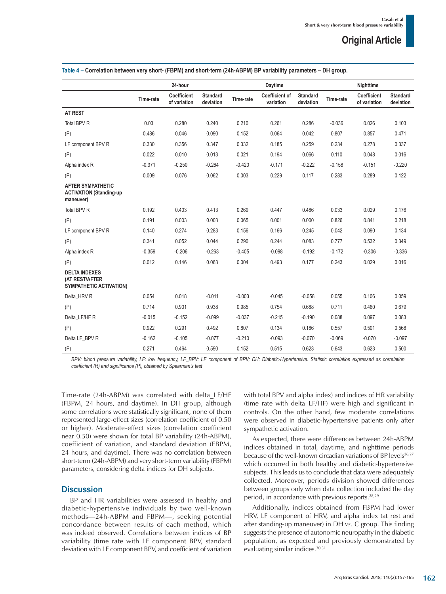|                                                                         |           | 24-hour                     |                              |           | Daytime                            |                              |           | Nighttime                          |                              |
|-------------------------------------------------------------------------|-----------|-----------------------------|------------------------------|-----------|------------------------------------|------------------------------|-----------|------------------------------------|------------------------------|
|                                                                         | Time-rate | Coefficient<br>of variation | <b>Standard</b><br>deviation | Time-rate | <b>Coefficient of</b><br>variation | <b>Standard</b><br>deviation | Time-rate | <b>Coefficient</b><br>of variation | <b>Standard</b><br>deviation |
| AT REST                                                                 |           |                             |                              |           |                                    |                              |           |                                    |                              |
| Total BPV R                                                             | 0.03      | 0.280                       | 0.240                        | 0.210     | 0.261                              | 0.286                        | $-0.036$  | 0.026                              | 0.103                        |
| (P)                                                                     | 0.486     | 0.046                       | 0.090                        | 0.152     | 0.064                              | 0.042                        | 0.807     | 0.857                              | 0.471                        |
| LF component BPV R                                                      | 0.330     | 0.356                       | 0.347                        | 0.332     | 0.185                              | 0.259                        | 0.234     | 0.278                              | 0.337                        |
| (P)                                                                     | 0.022     | 0.010                       | 0.013                        | 0.021     | 0.194                              | 0.066                        | 0.110     | 0.048                              | 0.016                        |
| Alpha index R                                                           | $-0.371$  | $-0.250$                    | $-0.264$                     | $-0.420$  | $-0.171$                           | $-0.222$                     | $-0.158$  | $-0.151$                           | $-0.220$                     |
| (P)                                                                     | 0.009     | 0.076                       | 0.062                        | 0.003     | 0.229                              | 0.117                        | 0.283     | 0.289                              | 0.122                        |
| <b>AFTER SYMPATHETIC</b><br><b>ACTIVATION (Standing-up</b><br>maneuver) |           |                             |                              |           |                                    |                              |           |                                    |                              |
| Total BPV R                                                             | 0.192     | 0.403                       | 0.413                        | 0.269     | 0.447                              | 0.486                        | 0.033     | 0.029                              | 0.176                        |
| (P)                                                                     | 0.191     | 0.003                       | 0.003                        | 0.065     | 0.001                              | 0.000                        | 0.826     | 0.841                              | 0.218                        |
| LF component BPV R                                                      | 0.140     | 0.274                       | 0.283                        | 0.156     | 0.166                              | 0.245                        | 0.042     | 0.090                              | 0.134                        |
| (P)                                                                     | 0.341     | 0.052                       | 0.044                        | 0.290     | 0.244                              | 0.083                        | 0.777     | 0.532                              | 0.349                        |
| Alpha index R                                                           | $-0.359$  | $-0.206$                    | $-0.263$                     | $-0.405$  | $-0.098$                           | $-0.192$                     | $-0.172$  | $-0.306$                           | $-0.336$                     |
| (P)                                                                     | 0.012     | 0.146                       | 0.063                        | 0.004     | 0.493                              | 0.177                        | 0.243     | 0.029                              | 0.016                        |
| <b>DELTA INDEXES</b><br>(AT REST/AFTER<br>SYMPATHETIC ACTIVATION)       |           |                             |                              |           |                                    |                              |           |                                    |                              |
| Delta_HRV R                                                             | 0.054     | 0.018                       | $-0.011$                     | $-0.003$  | $-0.045$                           | $-0.058$                     | 0.055     | 0.106                              | 0.059                        |
| (P)                                                                     | 0.714     | 0.901                       | 0.938                        | 0.985     | 0.754                              | 0.688                        | 0.711     | 0.460                              | 0.679                        |
| Delta LF/HF R                                                           | $-0.015$  | $-0.152$                    | $-0.099$                     | $-0.037$  | $-0.215$                           | $-0.190$                     | 0.088     | 0.097                              | 0.083                        |
| (P)                                                                     | 0.922     | 0.291                       | 0.492                        | 0.807     | 0.134                              | 0.186                        | 0.557     | 0.501                              | 0.568                        |
| Delta LF BPV R                                                          | $-0.162$  | $-0.105$                    | $-0.077$                     | $-0.210$  | $-0.093$                           | $-0.070$                     | $-0.069$  | $-0.070$                           | $-0.097$                     |
| (P)                                                                     | 0.271     | 0.464                       | 0.590                        | 0.152     | 0.515                              | 0.623                        | 0.643     | 0.623                              | 0.500                        |

**Table 4 – Correlation between very short- (FBPM) and short-term (24h-ABPM) BP variability parameters – DH group.**

*BPV: blood pressure variability, LF: low frequency, LF\_BPV: LF component of BPV; DH: Diabetic-Hypertensive. Statistic correlation expressed as correlation coefficient (R) and significance (P), obtained by Spearman's test*

Time-rate (24h-ABPM) was correlated with delta\_LF/HF (FBPM, 24 hours, and daytime). In DH group, although some correlations were statistically significant, none of them represented large-effect sizes (correlation coefficient of 0.50 or higher). Moderate-effect sizes (correlation coefficient near 0.50) were shown for total BP variability (24h-ABPM), coefficient of variation, and standard deviation (FBPM, 24 hours, and daytime). There was no correlation between short-term (24h-ABPM) and very short-term variability (FBPM) parameters, considering delta indices for DH subjects.

### **Discussion**

BP and HR variabilities were assessed in healthy and diabetic-hypertensive individuals by two well-known methods—24h-ABPM and FBPM—, seeking potential concordance between results of each method, which was indeed observed. Correlations between indices of BP variability (time rate with LF component BPV, standard deviation with LF component BPV, and coefficient of variation with total BPV and alpha index) and indices of HR variability (time rate with delta\_LF/HF) were high and significant in controls. On the other hand, few moderate correlations were observed in diabetic-hypertensive patients only after sympathetic activation.

As expected, there were differences between 24h-ABPM indices obtained in total, daytime, and nighttime periods because of the well-known circadian variations of BP levels<sup>26,27</sup> which occurred in both healthy and diabetic-hypertensive subjects. This leads us to conclude that data were adequately collected. Moreover, periods division showed differences between groups only when data collection included the day period, in accordance with previous reports.<sup>28,29</sup>

Additionally, indices obtained from FBPM had lower HRV, LF component of HRV, and alpha index (at rest and after standing-up maneuver) in DH *vs.* C group. This finding suggests the presence of autonomic neuropathy in the diabetic population, as expected and previously demonstrated by evaluating similar indices.<sup>30,31</sup>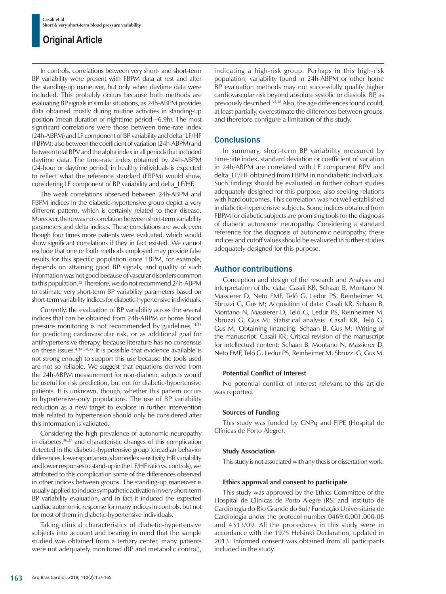In controls, correlations between very short- and short-term BP variability were present with FBPM data at rest and after the standing-up maneuver, but only when daytime data were included. This probably occurs because both methods are evaluating BP signals in similar situations, as 24h-ABPM provides data obtained mostly during routine activities in standing-up position (mean duration of nighttime period ∼6.9h). The most significant correlations were those between time-rate index (24h-ABPM) and LF component of BP variability and delta\_LF/HF (FBPM); also between the coefficient of variation (24h-ABPM) and between total BPV and the alpha index in all periods that included daytime data. The time-rate index obtained by 24h-ABPM (24-hour or daytime period) in healthy individuals is expected to reflect what the reference standard (FBPM) would show, considering LF component of BP variability and delta\_LF/HF.

The weak correlations observed between 24h-ABPM and FBPM indices in the diabetic-hypertensive group depict a very different pattern, which is certainly related to their disease. Moreover, there was no correlation between short-term variability parameters and delta indices. These correlations are weak even though four times more patients were evaluated, which would show significant correlations if they in fact existed. We cannot exclude that one or both methods employed may provide false results for this specific population once FBPM, for example, depends on attaining good BP signals, and quality of such information was not good because of vascular disorders common to this population.32 Therefore, we do not recommend 24h-ABPM to estimate very short-term BP variability parameters based on short-term variability indices for diabetic-hypertensive individuals.

Currently, the evaluation of BP variability across the several indices that can be obtained from 24h-ABPM or home blood pressure monitoring is not recommended by guidelines,<sup>14,33</sup> for predicting cardiovascular risk, or as additional goal for antihypertensive therapy, because literature has no consensus on these issues.4,14,34,35 It is possible that evidence available is not strong enough to support this use because the tools used are not so reliable. We suggest that equations derived from the 24h-ABPM measurement for non-diabetic subjects would be useful for risk prediction, but not for diabetic-hypertensive patients. It is unknown, though, whether this pattern occurs in hypertensive-only populations. The use of BP variability reduction as a new target to explore in further intervention trials related to hypertension should only be considered after this information is validated.

Considering the high prevalence of autonomic neuropathy in diabetes, $36,37$  and characteristic changes of this complication detected in the diabetic-hypertensive group (circadian behavior differences, lower spontaneous baroreflex sensitivity, HR variability and lower responses to stand-up in the LF/HF ratio vs. controls), we attributed to this complication some of the differences observed in other indices between groups. The standing-up maneuver is usually applied to induce sympathetic activation in very short-term BP variability evaluation, and in fact it induced the expected cardiac autonomic response for many indices in controls, but not for most of them in diabetic-hypertensive individuals.

Taking clinical characteristics of diabetic-hypertensive subjects into account and bearing in mind that the sample studied was obtained from a tertiary center, many patients were not adequately monitored (BP and metabolic control), indicating a high-risk group. Perhaps in this high-risk population, variability found in 24h-ABPM or other home BP evaluation methods may not successfully qualify higher cardiovascular risk beyond absolute systolic or diastolic BP, as previously described.34,38 Also, the age differences found could, at least partially, overestimate the differences between groups, and therefore configure a limitation of this study.

### **Conclusions**

In summary, short-term BP variability measured by time-rate index, standard deviation or coefficient of variation in 24h-ABPM are correlated with LF component BPV and delta LF/HF obtained from FBPM in nondiabetic individuals. Such findings should be evaluated in further cohort studies adequately designed for this purpose, also seeking relations with hard outcomes. This correlation was not well established in diabetic-hypertensive subjects. Some indices obtained from FBPM for diabetic subjects are promising tools for the diagnosis of diabetic autonomic neuropathy. Considering a standard reference for the diagnosis of autonomic neuropathy, these indices and cutoff values should be evaluated in further studies adequately designed for this purpose.

### Author contributions

Conception and design of the research and Analysis and interpretation of the data: Casali KR, Schaan B, Montano N, Massierer D, Neto FMF, Teló G, Ledur PS, Reinheimer M, Sbruzzi G, Gus M; Acquisition of data: Casali KR, Schaan B, Montano N, Massierer D, Teló G, Ledur PS, Reinheimer M, Sbruzzi G, Gus M; Statistical analysis: Casali KR, Teló G, Gus M; Obtaining financing: Schaan B, Gus M; Writing of the manuscript: Casali KR; Critical revision of the manuscript for intellectual content: Schaan B, Montano N, Massierer D, Neto FMF, Teló G, Ledur PS, Reinheimer M, Sbruzzi G, Gus M.

### **Potential Conflict of Interest**

No potential conflict of interest relevant to this article was reported.

### **Sources of Funding**

This study was funded by CNPq and FIPE (Hospital de Clínicas de Porto Alegre).

### **Study Association**

This study is not associated with any thesis or dissertation work.

### **Ethics approval and consent to participate**

This study was approved by the Ethics Committee of the Hospital de Clínicas de Porto Alegre (RS) and Instituto de Cardiologia do Rio Grande do Sul / Fundação Universitária de Cardiologia under the protocol number 0469.0.001.000-08 and 4313/09. All the procedures in this study were in accordance with the 1975 Helsinki Declaration, updated in 2013. Informed consent was obtained from all participants included in the study.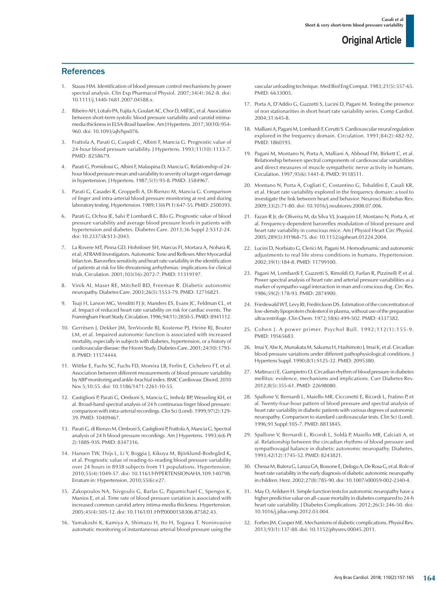### **References**

- 1. Stauss HM. Identification of blood pressure control mechanisms by power spectral analysis. Clin Exp Pharmacol Physiol. 2007;34(4):362-8. doi: 10.1111/j.1440-1681.2007.04588.x.
- 2. Ribeiro AH, Lotufo PA, Fujita A, Goulart AC, Chor D, Mill JG, et al. Association between short-term systolic blood pressure variability and carotid intimamedia thickness in ELSA-Brasil baseline. Am J Hypertens. 2017;30(10):954- 960. doi: 10.1093/ajh/hpx076.
- 3. Frattola A, Parati G, Cuspidi C, Albini F, Mancia G. Prognostic value of 24-hour blood pressure variability. J Hypertens. 1993;11(10):1133-7. PMID: 8258679.
- 4. Parati G, Pomidossi G, Albini F, Malaspina D, Mancia G. Relationship of 24 hour blood pressure mean and variability to severity of target-organ damage in hypertension. J Hypertens. 1987;5(1):93-8. PMID: 3584967.
- 5. Parati G, Casadei R, Groppelli A, Di Rienzo M, Mancia G. Comparison of finger and intra-arterial blood pressure monitoring at rest and during laboratory testing. Hypertension. 1989;13(6 Pt 1):647-55. PMID: 2500393.
- 6. Parati G, Ochoa JE, Salvi P, Lombardi C, Bilo G. Prognostic value of blood pressure variability and average blood pressure levels in patients with hypertension and diabetes. Diabetes Care. 2013;36 Suppl 2:S312-24. doi: 10.2337/dcS13-2043.
- 7. La Rovere MT, Pinna GD, Hohnloser SH, Marcus FI, Mortara A, Nohara R, et al; ATRAMI Investigators. Autonomic Tone and Reflexes After Myocardial Infarcton. Baroreflex sensitivity and heart rate variability in the identification of patients at risk for life-threatening arrhythmias: implications for clinical trials. Circulation. 2001;103(16):2072-7. PMID: 11319197.
- 8. Vinik AI, Maser RE, Mitchell BD, Freeman R. Diabetic autonomic neuropathy. Diabetes Care. 2003;26(5):1553-79. PMID: 12716821.
- 9. Tsuji H, Larson MG, Venditti FJ Jr, Manders ES, Evans JC, Feldman CL, et al. Impact of reduced heart rate variability on risk for cardiac events. The Framingham Heart Study. Circulation. 1996;94(11):2850-5. PMID: 8941112.
- 10. Gerritsen J, Dekker JM, TenVoorde BJ, Kostense PJ, Heine RJ, Bouter LM, et al. Impaired autonomic function is associated with increased mortality, especially in subjects with diabetes, hypertension, or a history of cardiovascular disease: the Hoorn Study. Diabetes Care. 2001;24(10):1793- 8. PMID: 11574444.
- 11. Wittke E, Fuchs SC, Fuchs FD, Moreira LB, Ferlin E, Cichelero FT, et al. Association between different measurements of blood pressure variability by ABP monitoring and ankle-brachial index. BMC Cardiovasc Disord. 2010 Nov 5;10:55. doi: 10.1186/1471-2261-10-55.
- 12. Castiglioni P, Parati G, Omboni S, Mancia G, Imholz BP, Wesseling KH, et al. Broad-band spectral analysis of 24 h continuous finger blood pressure: comparison with intra-arterial recordings. Clin Sci (Lond). 1999;97(2):129- 39. PMID: 10409467.
- 13. Parati G, di Rienzo M, Omboni S, Castiglioni P, Frattola A, Mancia G. Spectral analysis of 24 h blood pressure recordings. Am J Hypertens. 1993;6(6 Pt 2):188S-93S. PMID: 8347316.
- 14. Hansen TW, Thijs L, Li Y, Boggia J, Kikuya M, Björklund-Bodegård K, et al. Prognostic value of reading-to-reading blood pressure variability over 24 hours in 8938 subjects from 11 populations. Hypertension. 2010;55(4):1049-57. doi: 10.1161/HYPERTENSIONAHA.109.140798. Erratum in: Hypertension. 2010;55(6):e27.
- 15. Zakopoulos NA, Tsivgoulis G, Barlas G, Papamichael C, Spengos K, Manios E, et al. Time rate of blood pressure variation is associated with increased common carotid artery intima-media thickness. Hypertension. 2005;45(4):505-12. doi: 10.1161/01.HYP.0000158306.87582.43.
- 16. Yamakoshi K, Kamiya A, Shimazu H, Ito H, Togawa T. Noninvasive automatic monitoring of instantaneous arterial blood pressure using the

vascular unloading technique. Med Biol Eng Comput. 1983;21(5):557-65. PMID: 6633005.

- 17. Porta A, D'Addio G, Guzzetti S, Lucini D, Pagani M. Testing the presence of non stationarities in short heart rate variability series. Comp Cardiol. 2004;31:645-8.
- 18. Malliani A, Pagani M, Lombardi F, Cerutti S. Cardiovascular neural regulation explored in the frequency domain. Circulation. 1991;84(2):482-92. PMID: 1860193.
- 19. Pagani M, Montano N, Porta A, Malliani A, Abboud FM, Birkett C, et al. Relationship between spectral components of cardiovascular variabilities and direct measures of muscle sympathetic nerve activity in humans. Circulation. 1997;95(6):1441-8. PMID: 9118511.
- 20. Montano N, Porta A, Cogliati C, Costantino G, Tobaldini E, Casali KR, et al. Heart rate variability explored in the frequency domain: a tool to investigate the link between heart and behavior. Neurosci Biobehav Rev. 2009;33(2):71-80. doi: 10.1016/j.neubiorev.2008.07.006.
- 21. Fazan R Jr, de Oliveira M, da Silva VJ, Joaquim LF, Montano N, Porta A, et al. Frequency-dependent baroreflex modulation of blood pressure and heart rate variability in conscious mice. Am J Physiol Heart Circ Physiol. 2005;289(5):H1968-75. doi: 10.1152/ajpheart.01224.2004.
- 22. Lucini D, Norbiato G, Clerici M, Pagani M. Hemodynamic and autonomic adjustments to real life stress conditions in humans. Hypertension. 2002;39(1):184-8. PMID: 11799100.
- 23. Pagani M, Lombardi F, Guzzetti S, Rimoldi O, Furlan R, Pizzinelli P, et al. Power spectral analysis of heart rate and arterial pressure variabilities as a marker of sympatho-vagal interaction in man and conscious dog. Circ Res. 1986;59(2):178-93. PMID: 2874900.
- 24. Friedewald WT, Levy RI, Fredrickson DS. Estimation of the concentration of low-density lipoprotein cholesterol in plasma, without use of the preparative ultracentrifuge. Clin Chem. 1972;18(6):499-502. PMID: 4337382.
- 25. Cohen J. A power primer. Psychol Bull. 1992;112(1):155-9. PMID: 19565683.
- 26. Imai Y, Abe K, Munakata M, Sakuma H, Hashimoto J, Imai K, et al. Circadian blood pressure variations under different pathophysiological conditions. J Hypertens Suppl. 1990;8(1):S125-32. PMID: 2095380.
- 27. Matteucci E, Giampietro O. Circadian rhythm of blood pressure in diabetes mellitus: evidence, mechanisms and implications. Curr Diabetes Rev. 2012;8(5):355-61. PMID: 22698080.
- 28. Spallone V, Bernardi L, Maiello MR, Cicconetti E, Ricordi L, Fratino P, et al. Twenty-four-hour pattern of blood pressure and spectral analysis of heart rate variability in diabetic patients with various degrees of autonomic neuropathy. Comparison to standard cardiovascular tests. Clin Sci (Lond). 1996;91 Suppl:105-7. PMID: 8813845.
- 29. Spallone V, Bernardi L, Ricordi L, Soldà P, Maiello MR, Calciati A, et al. Relationship between the circadian rhythms of blood pressure and sympathovagal balance in diabetic autonomic neuropathy. Diabetes. 1993;42(12):1745-52. PMID: 8243821.
- 30. Chessa M, Butera G, Lanza GA, Bossone E, Delogu A, De Rosa G, et al. Role of heart rate variability in the early diagnosis of diabetic autonomic neuropathy in children. Herz. 2002;27(8):785-90. doi: 10.1007/s00059-002-2340-4.
- 31. May O, Arildsen H. Simple function tests for autonomic neuropathy have a higher predictive value on all-cause mortality in diabetes compared to 24-h heart rate variability. J Diabetes Complications. 2012;26(3):246-50. doi: 10.1016/j.jdiacomp.2012.03.004.
- 32. Forbes JM, Cooper ME. Mechanisms of diabetic complications. Physiol Rev. 2013;93(1):137-88. doi: 10.1152/physrev.00045.2011.